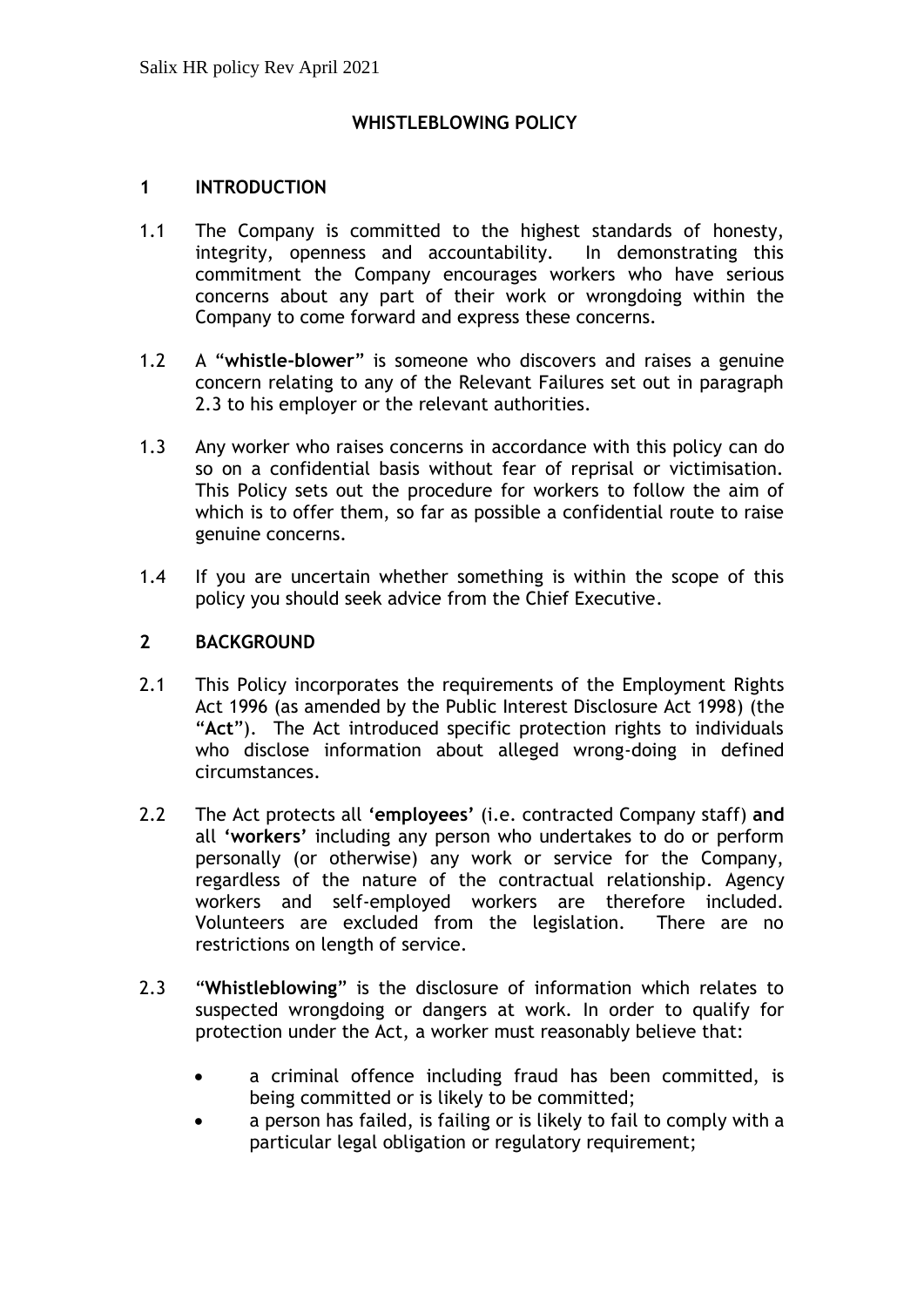## **WHISTLEBLOWING POLICY**

#### **1 INTRODUCTION**

- 1.1 The Company is committed to the highest standards of honesty, integrity, openness and accountability. In demonstrating this commitment the Company encourages workers who have serious concerns about any part of their work or wrongdoing within the Company to come forward and express these concerns.
- 1.2 A "**whistle-blower**" is someone who discovers and raises a genuine concern relating to any of the Relevant Failures set out in paragraph 2.3 to his employer or the relevant authorities.
- 1.3 Any worker who raises concerns in accordance with this policy can do so on a confidential basis without fear of reprisal or victimisation. This Policy sets out the procedure for workers to follow the aim of which is to offer them, so far as possible a confidential route to raise genuine concerns.
- 1.4 If you are uncertain whether something is within the scope of this policy you should seek advice from the Chief Executive.

### **2 BACKGROUND**

- 2.1 This Policy incorporates the requirements of the Employment Rights Act 1996 (as amended by the Public Interest Disclosure Act 1998) (the "**Act**"). The Act introduced specific protection rights to individuals who disclose information about alleged wrong-doing in defined circumstances.
- 2.2 The Act protects all **'employees'** (i.e. contracted Company staff) **and** all **'workers'** including any person who undertakes to do or perform personally (or otherwise) any work or service for the Company, regardless of the nature of the contractual relationship. Agency workers and self-employed workers are therefore included. Volunteers are excluded from the legislation. There are no restrictions on length of service.
- 2.3 "**Whistleblowing**" is the disclosure of information which relates to suspected wrongdoing or dangers at work. In order to qualify for protection under the Act, a worker must reasonably believe that:
	- a criminal offence including fraud has been committed, is being committed or is likely to be committed;
	- a person has failed, is failing or is likely to fail to comply with a particular legal obligation or regulatory requirement;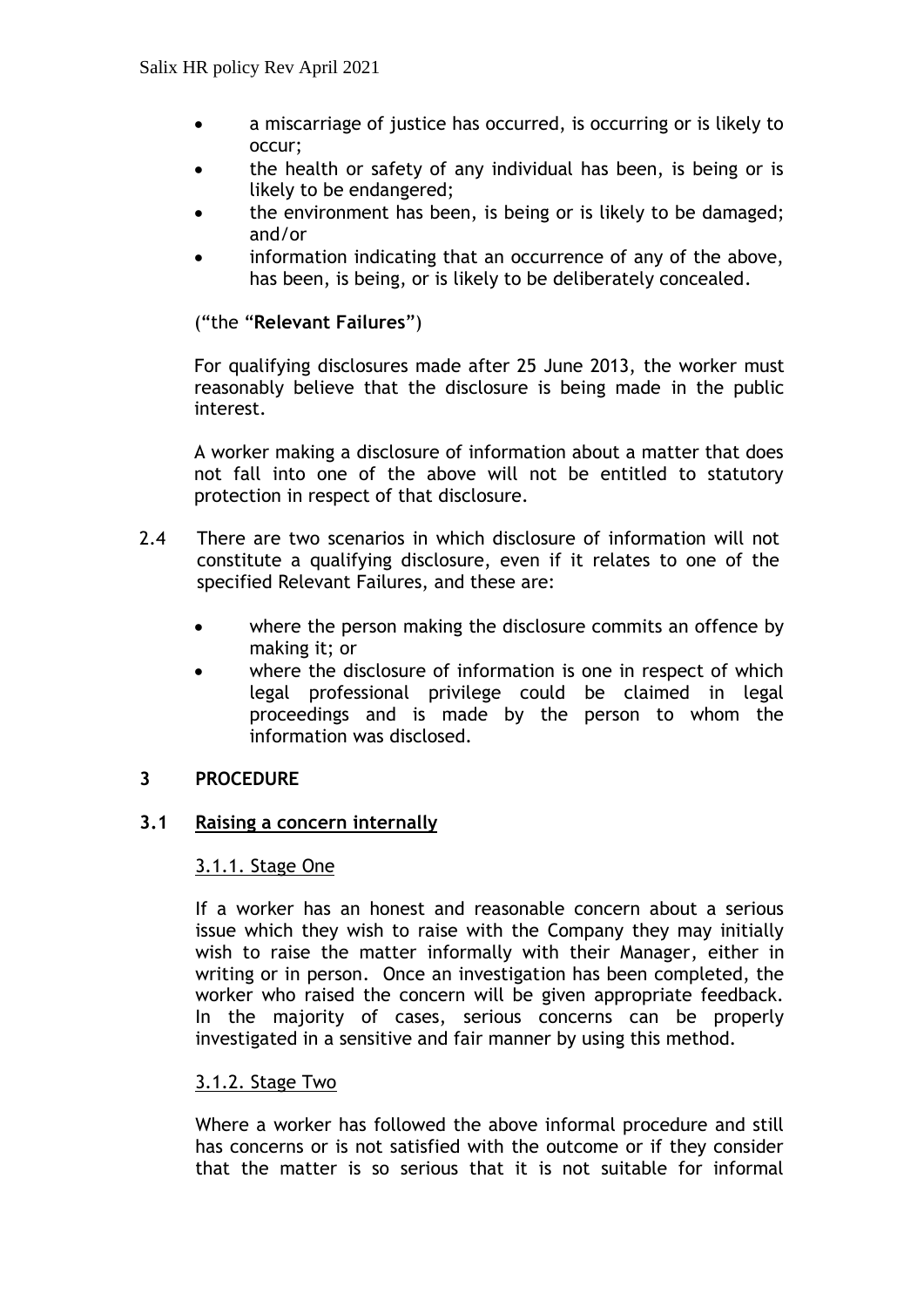- a miscarriage of justice has occurred, is occurring or is likely to occur;
- the health or safety of any individual has been, is being or is likely to be endangered;
- the environment has been, is being or is likely to be damaged; and/or
- information indicating that an occurrence of any of the above, has been, is being, or is likely to be deliberately concealed.

("the "**Relevant Failures**")

For qualifying disclosures made after 25 June 2013, the worker must reasonably believe that the disclosure is being made in the public interest.

A worker making a disclosure of information about a matter that does not fall into one of the above will not be entitled to statutory protection in respect of that disclosure.

- 2.4 There are two scenarios in which disclosure of information will not constitute a qualifying disclosure, even if it relates to one of the specified Relevant Failures, and these are:
	- where the person making the disclosure commits an offence by making it; or
	- where the disclosure of information is one in respect of which legal professional privilege could be claimed in legal proceedings and is made by the person to whom the information was disclosed.

# **3 PROCEDURE**

### **3.1 Raising a concern internally**

### 3.1.1. Stage One

If a worker has an honest and reasonable concern about a serious issue which they wish to raise with the Company they may initially wish to raise the matter informally with their Manager, either in writing or in person. Once an investigation has been completed, the worker who raised the concern will be given appropriate feedback. In the majority of cases, serious concerns can be properly investigated in a sensitive and fair manner by using this method.

### 3.1.2. Stage Two

Where a worker has followed the above informal procedure and still has concerns or is not satisfied with the outcome or if they consider that the matter is so serious that it is not suitable for informal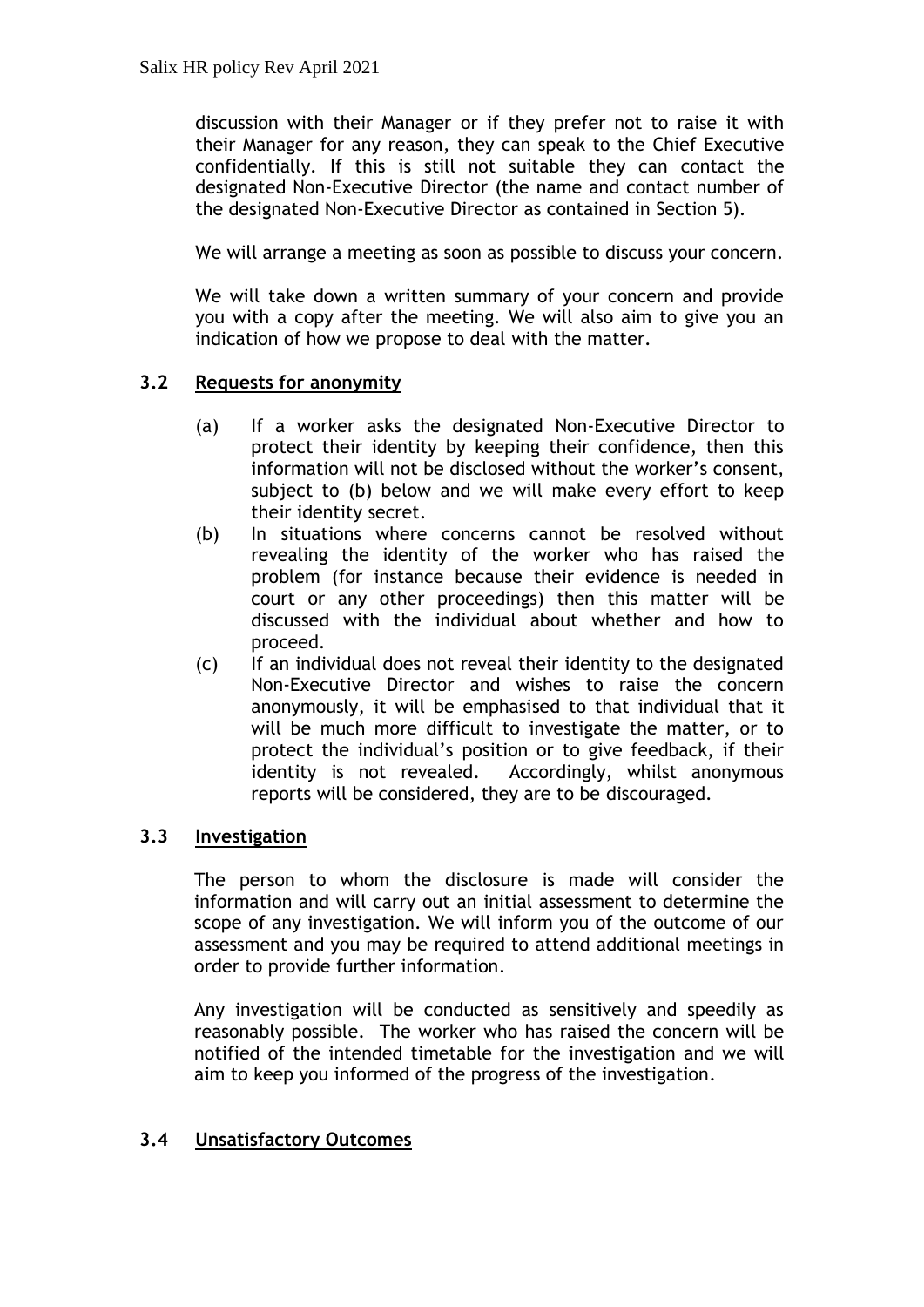discussion with their Manager or if they prefer not to raise it with their Manager for any reason, they can speak to the Chief Executive confidentially. If this is still not suitable they can contact the designated Non-Executive Director (the name and contact number of the designated Non-Executive Director as contained in Section 5).

We will arrange a meeting as soon as possible to discuss your concern.

We will take down a written summary of your concern and provide you with a copy after the meeting. We will also aim to give you an indication of how we propose to deal with the matter.

## **3.2 Requests for anonymity**

- (a) If a worker asks the designated Non-Executive Director to protect their identity by keeping their confidence, then this information will not be disclosed without the worker's consent, subject to (b) below and we will make every effort to keep their identity secret.
- (b) In situations where concerns cannot be resolved without revealing the identity of the worker who has raised the problem (for instance because their evidence is needed in court or any other proceedings) then this matter will be discussed with the individual about whether and how to proceed.
- (c) If an individual does not reveal their identity to the designated Non-Executive Director and wishes to raise the concern anonymously, it will be emphasised to that individual that it will be much more difficult to investigate the matter, or to protect the individual's position or to give feedback, if their identity is not revealed. Accordingly, whilst anonymous reports will be considered, they are to be discouraged.

# **3.3 Investigation**

The person to whom the disclosure is made will consider the information and will carry out an initial assessment to determine the scope of any investigation. We will inform you of the outcome of our assessment and you may be required to attend additional meetings in order to provide further information.

Any investigation will be conducted as sensitively and speedily as reasonably possible. The worker who has raised the concern will be notified of the intended timetable for the investigation and we will aim to keep you informed of the progress of the investigation.

# **3.4 Unsatisfactory Outcomes**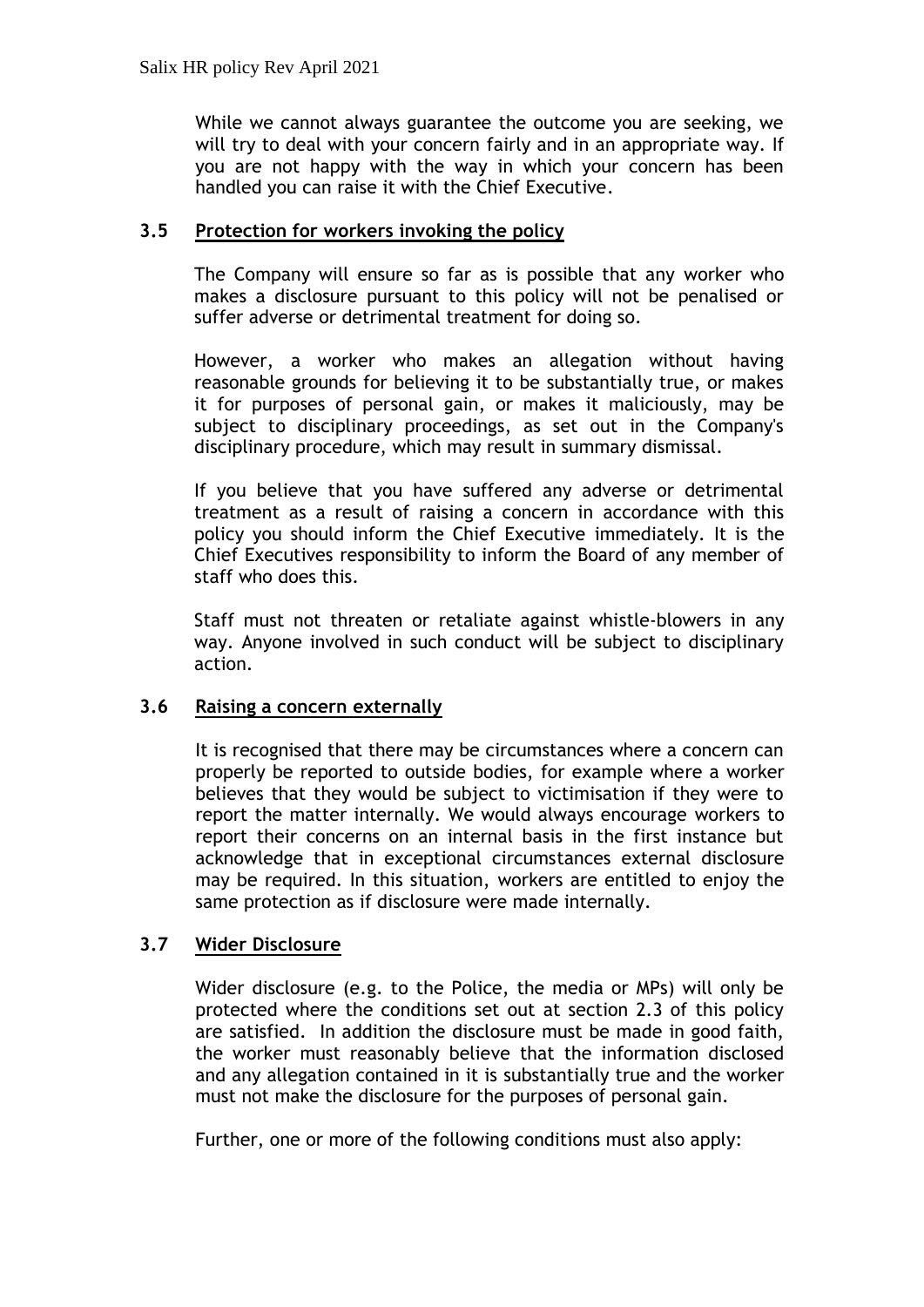While we cannot always guarantee the outcome you are seeking, we will try to deal with your concern fairly and in an appropriate way. If you are not happy with the way in which your concern has been handled you can raise it with the Chief Executive.

## **3.5 Protection for workers invoking the policy**

The Company will ensure so far as is possible that any worker who makes a disclosure pursuant to this policy will not be penalised or suffer adverse or detrimental treatment for doing so.

However, a worker who makes an allegation without having reasonable grounds for believing it to be substantially true, or makes it for purposes of personal gain, or makes it maliciously, may be subject to disciplinary proceedings, as set out in the Company's disciplinary procedure, which may result in summary dismissal.

If you believe that you have suffered any adverse or detrimental treatment as a result of raising a concern in accordance with this policy you should inform the Chief Executive immediately. It is the Chief Executives responsibility to inform the Board of any member of staff who does this.

Staff must not threaten or retaliate against whistle-blowers in any way. Anyone involved in such conduct will be subject to disciplinary action.

### **3.6 Raising a concern externally**

It is recognised that there may be circumstances where a concern can properly be reported to outside bodies, for example where a worker believes that they would be subject to victimisation if they were to report the matter internally. We would always encourage workers to report their concerns on an internal basis in the first instance but acknowledge that in exceptional circumstances external disclosure may be required. In this situation, workers are entitled to enjoy the same protection as if disclosure were made internally.

### **3.7 Wider Disclosure**

Wider disclosure (e.g. to the Police, the media or MPs) will only be protected where the conditions set out at section 2.3 of this policy are satisfied. In addition the disclosure must be made in good faith, the worker must reasonably believe that the information disclosed and any allegation contained in it is substantially true and the worker must not make the disclosure for the purposes of personal gain.

Further, one or more of the following conditions must also apply: